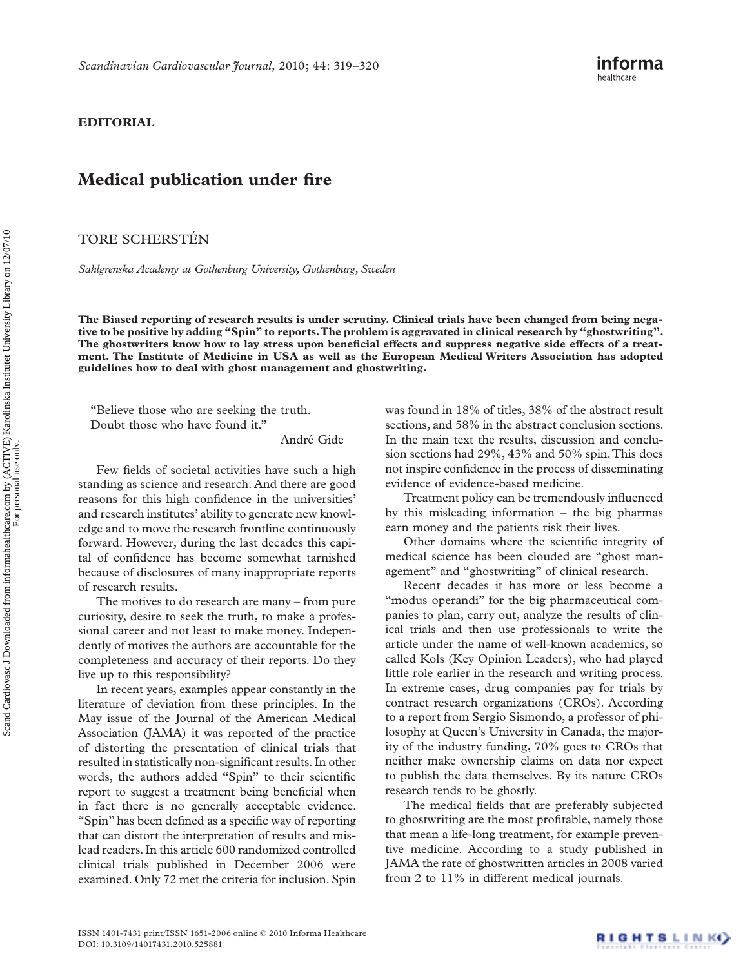## **EDITORIAL**

## **Medical publication under fire**

TORE SCHERSTÉN

*Sahlgrenska Academy at Gothenburg University, Gothenburg, Sweden* 

**The Biased reporting of research results is under scrutiny. Clinical trials have been changed from being nega**tive to be positive by adding "Spin" to reports. The problem is aggravated in clinical research by "ghostwriting". The ghostwriters know how to lay stress upon beneficial effects and suppress negative side effects of a treat**ment. The Institute of Medicine in USA as well as the European Medical Writers Association has adopted guidelines how to deal with ghost management and ghostwriting.** 

" Believe those who are seeking the truth. Doubt those who have found it."

André Gide

Few fields of societal activities have such a high standing as science and research. And there are good reasons for this high confidence in the universities' and research institutes' ability to generate new knowledge and to move the research frontline continuously forward. However, during the last decades this capital of confidence has become somewhat tarnished because of disclosures of many inappropriate reports of research results.

The motives to do research are many  $-$  from pure curiosity, desire to seek the truth, to make a professional career and not least to make money. Independently of motives the authors are accountable for the completeness and accuracy of their reports. Do they live up to this responsibility?

In recent years, examples appear constantly in the literature of deviation from these principles. In the May issue of the Journal of the American Medical Association (JAMA) it was reported of the practice of distorting the presentation of clinical trials that resulted in statistically non-significant results. In other words, the authors added "Spin" to their scientific report to suggest a treatment being beneficial when in fact there is no generally acceptable evidence. "Spin" has been defined as a specific way of reporting that can distort the interpretation of results and mislead readers. In this article 600 randomized controlled clinical trials published in December 2006 were examined. Only 72 met the criteria for inclusion. Spin

was found in 18% of titles, 38% of the abstract result sections, and 58% in the abstract conclusion sections. In the main text the results, discussion and conclusion sections had 29%, 43% and 50% spin. This does not inspire confidence in the process of disseminating evidence of evidence-based medicine.

Treatment policy can be tremendously influenced by this misleading information  $-$  the big pharmas earn money and the patients risk their lives.

Other domains where the scientific integrity of medical science has been clouded are "ghost management" and "ghostwriting" of clinical research.

Recent decades it has more or less become a " modus operandi" for the big pharmaceutical companies to plan, carry out, analyze the results of clinical trials and then use professionals to write the article under the name of well-known academics, so called Kols (Key Opinion Leaders), who had played little role earlier in the research and writing process. In extreme cases, drug companies pay for trials by contract research organizations (CROs). According to a report from Sergio Sismondo, a professor of philosophy at Queen's University in Canada, the majority of the industry funding, 70% goes to CROs that neither make ownership claims on data nor expect to publish the data themselves. By its nature CROs research tends to be ghostly.

The medical fields that are preferably subjected to ghostwriting are the most profitable, namely those that mean a life-long treatment, for example preventive medicine. According to a study published in JAMA the rate of ghostwritten articles in 2008 varied from 2 to 11% in different medical journals.